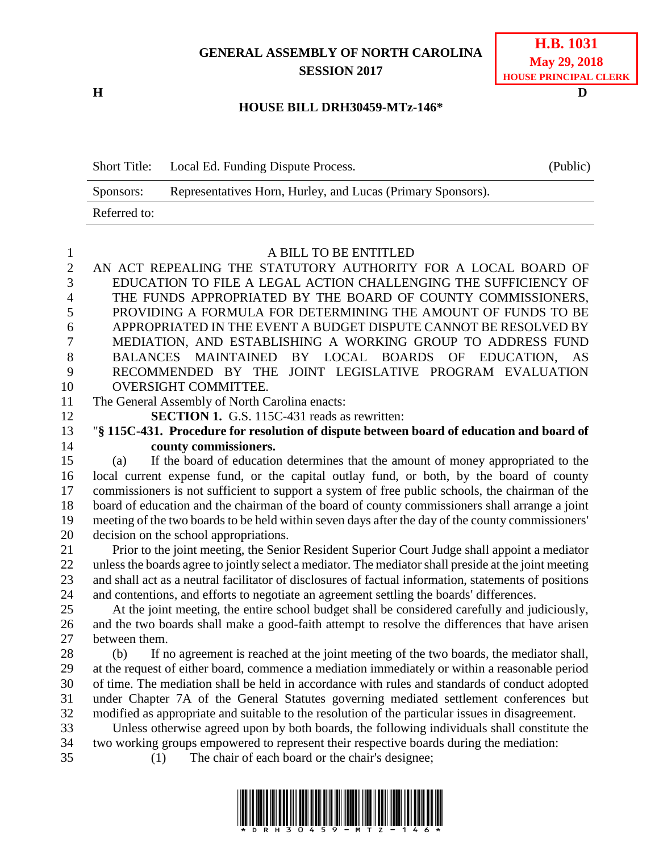## **GENERAL ASSEMBLY OF NORTH CAROLINA SESSION 2017**

**H D**

| <b>H.B.</b> 1031             |
|------------------------------|
| <b>May 29, 2018</b>          |
| <b>HOUSE PRINCIPAL CLERK</b> |

## **HOUSE BILL DRH30459-MTz-146\***

|              | Short Title: Local Ed. Funding Dispute Process.             | (Public) |
|--------------|-------------------------------------------------------------|----------|
| Sponsors:    | Representatives Horn, Hurley, and Lucas (Primary Sponsors). |          |
| Referred to: |                                                             |          |

## A BILL TO BE ENTITLED

| $\sqrt{2}$     | AN ACT REPEALING THE STATUTORY AUTHORITY FOR A LOCAL BOARD OF                                         |  |  |  |
|----------------|-------------------------------------------------------------------------------------------------------|--|--|--|
| $\overline{3}$ | EDUCATION TO FILE A LEGAL ACTION CHALLENGING THE SUFFICIENCY OF                                       |  |  |  |
| $\overline{4}$ | THE FUNDS APPROPRIATED BY THE BOARD OF COUNTY COMMISSIONERS,                                          |  |  |  |
| 5              | PROVIDING A FORMULA FOR DETERMINING THE AMOUNT OF FUNDS TO BE                                         |  |  |  |
| 6              | APPROPRIATED IN THE EVENT A BUDGET DISPUTE CANNOT BE RESOLVED BY                                      |  |  |  |
| $\overline{7}$ | MEDIATION, AND ESTABLISHING A WORKING GROUP TO ADDRESS FUND                                           |  |  |  |
| $8\,$          | BALANCES MAINTAINED BY LOCAL BOARDS<br>OF EDUCATION,<br>AS                                            |  |  |  |
| 9              | RECOMMENDED BY THE<br>JOINT LEGISLATIVE PROGRAM EVALUATION                                            |  |  |  |
| 10             | OVERSIGHT COMMITTEE.                                                                                  |  |  |  |
| 11             | The General Assembly of North Carolina enacts:                                                        |  |  |  |
| 12             | <b>SECTION 1.</b> G.S. 115C-431 reads as rewritten:                                                   |  |  |  |
| 13             | "§ 115C-431. Procedure for resolution of dispute between board of education and board of              |  |  |  |
| 14             | county commissioners.                                                                                 |  |  |  |
| 15             | If the board of education determines that the amount of money appropriated to the<br>(a)              |  |  |  |
| 16             | local current expense fund, or the capital outlay fund, or both, by the board of county               |  |  |  |
| 17             | commissioners is not sufficient to support a system of free public schools, the chairman of the       |  |  |  |
| 18             | board of education and the chairman of the board of county commissioners shall arrange a joint        |  |  |  |
| 19             | meeting of the two boards to be held within seven days after the day of the county commissioners'     |  |  |  |
| 20             | decision on the school appropriations.                                                                |  |  |  |
| 21             | Prior to the joint meeting, the Senior Resident Superior Court Judge shall appoint a mediator         |  |  |  |
| 22             | unless the boards agree to jointly select a mediator. The mediator shall preside at the joint meeting |  |  |  |
| 23             | and shall act as a neutral facilitator of disclosures of factual information, statements of positions |  |  |  |
| 24             | and contentions, and efforts to negotiate an agreement settling the boards' differences.              |  |  |  |
| 25             | At the joint meeting, the entire school budget shall be considered carefully and judiciously,         |  |  |  |
| 26             | and the two boards shall make a good-faith attempt to resolve the differences that have arisen        |  |  |  |
| 27             | between them.                                                                                         |  |  |  |
| 28             | If no agreement is reached at the joint meeting of the two boards, the mediator shall,<br>(b)         |  |  |  |
| 29             | at the request of either board, commence a mediation immediately or within a reasonable period        |  |  |  |
| 30             | of time. The mediation shall be held in accordance with rules and standards of conduct adopted        |  |  |  |
| 31             | under Chapter 7A of the General Statutes governing mediated settlement conferences but                |  |  |  |
| 32             | modified as appropriate and suitable to the resolution of the particular issues in disagreement.      |  |  |  |
| 33             | Unless otherwise agreed upon by both boards, the following individuals shall constitute the           |  |  |  |
| 34             | two working groups empowered to represent their respective boards during the mediation:               |  |  |  |
| 35             | The chair of each board or the chair's designee;<br>(1)                                               |  |  |  |

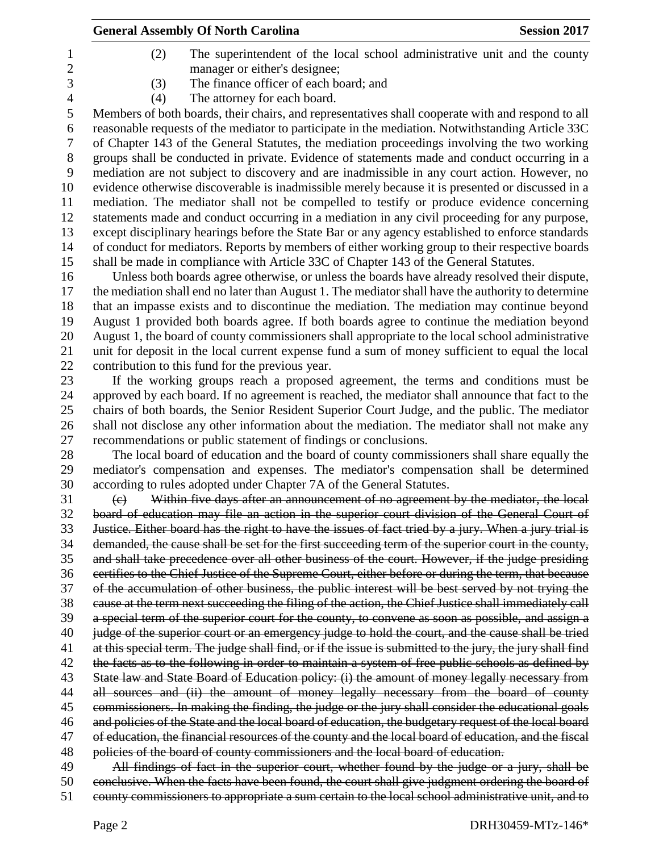| 1              | (2)<br>The superintendent of the local school administrative unit and the county                                                                                                                     |
|----------------|------------------------------------------------------------------------------------------------------------------------------------------------------------------------------------------------------|
| $\mathbf{2}$   | manager or either's designee;                                                                                                                                                                        |
| 3              | The finance officer of each board; and<br>(3)                                                                                                                                                        |
| $\overline{4}$ | The attorney for each board.<br>(4)                                                                                                                                                                  |
| 5              | Members of both boards, their chairs, and representatives shall cooperate with and respond to all                                                                                                    |
| 6              | reasonable requests of the mediator to participate in the mediation. Notwithstanding Article 33C                                                                                                     |
| 7              | of Chapter 143 of the General Statutes, the mediation proceedings involving the two working                                                                                                          |
| $8\phantom{1}$ | groups shall be conducted in private. Evidence of statements made and conduct occurring in a                                                                                                         |
| 9              | mediation are not subject to discovery and are inadmissible in any court action. However, no                                                                                                         |
| 10             | evidence otherwise discoverable is inadmissible merely because it is presented or discussed in a                                                                                                     |
| 11             | mediation. The mediator shall not be compelled to testify or produce evidence concerning                                                                                                             |
| 12             | statements made and conduct occurring in a mediation in any civil proceeding for any purpose,                                                                                                        |
| 13             | except disciplinary hearings before the State Bar or any agency established to enforce standards                                                                                                     |
| 14             | of conduct for mediators. Reports by members of either working group to their respective boards                                                                                                      |
| 15             | shall be made in compliance with Article 33C of Chapter 143 of the General Statutes.                                                                                                                 |
| 16             | Unless both boards agree otherwise, or unless the boards have already resolved their dispute,                                                                                                        |
| 17             | the mediation shall end no later than August 1. The mediator shall have the authority to determine                                                                                                   |
| 18             | that an impasse exists and to discontinue the mediation. The mediation may continue beyond                                                                                                           |
| 19             | August 1 provided both boards agree. If both boards agree to continue the mediation beyond                                                                                                           |
| 20             | August 1, the board of county commissioners shall appropriate to the local school administrative                                                                                                     |
| 21             | unit for deposit in the local current expense fund a sum of money sufficient to equal the local                                                                                                      |
| 22             | contribution to this fund for the previous year.                                                                                                                                                     |
| 23             | If the working groups reach a proposed agreement, the terms and conditions must be                                                                                                                   |
| 24             | approved by each board. If no agreement is reached, the mediator shall announce that fact to the                                                                                                     |
| 25             | chairs of both boards, the Senior Resident Superior Court Judge, and the public. The mediator                                                                                                        |
| 26             | shall not disclose any other information about the mediation. The mediator shall not make any                                                                                                        |
| 27             | recommendations or public statement of findings or conclusions.                                                                                                                                      |
| 28             | The local board of education and the board of county commissioners shall share equally the                                                                                                           |
| 29             | mediator's compensation and expenses. The mediator's compensation shall be determined                                                                                                                |
| 30             | according to rules adopted under Chapter 7A of the General Statutes.                                                                                                                                 |
| 31             | Within five days after an announcement of no agreement by the mediator, the local<br>$\left(\mathrm{e}\right)$                                                                                       |
| 32             | board of education may file an action in the superior court division of the General Court of                                                                                                         |
| 33             | Justice. Either board has the right to have the issues of fact tried by a jury. When a jury trial is                                                                                                 |
| 34             | demanded, the cause shall be set for the first succeeding term of the superior court in the county,                                                                                                  |
| 35             | and shall take precedence over all other business of the court. However, if the judge presiding                                                                                                      |
| 36             | certifies to the Chief Justice of the Supreme Court, either before or during the term, that because                                                                                                  |
| 37             | of the accumulation of other business, the public interest will be best served by not trying the                                                                                                     |
| 38             | cause at the term next succeeding the filing of the action, the Chief Justice shall immediately call                                                                                                 |
| 39             | a special term of the superior court for the county, to convene as soon as possible, and assign a                                                                                                    |
| 40             | judge of the superior court or an emergency judge to hold the court, and the cause shall be tried                                                                                                    |
| 41             | at this special term. The judge shall find, or if the issue is submitted to the jury, the jury shall find                                                                                            |
| 42             | the facts as to the following in order to maintain a system of free public schools as defined by                                                                                                     |
| 43             | State law and State Board of Education policy: (i) the amount of money legally necessary from                                                                                                        |
| 44             | all sources and (ii) the amount of money legally necessary from the board of county                                                                                                                  |
| 45             | commissioners. In making the finding, the judge or the jury shall consider the educational goals                                                                                                     |
| 46             | and policies of the State and the local board of education, the budgetary request of the local board                                                                                                 |
| 47             | of education, the financial resources of the county and the local board of education, and the fiscal                                                                                                 |
| 48             | policies of the board of county commissioners and the local board of education.                                                                                                                      |
| 49<br>50       | All findings of fact in the superior court, whether found by the judge or a jury, shall be                                                                                                           |
|                | conclusive. When the facts have been found, the court shall give judgment ordering the board of<br>county commissioners to appropriate a sum certain to the local school administrative unit, and to |
| 51             |                                                                                                                                                                                                      |

**General Assembly Of North Carolina Session 2017**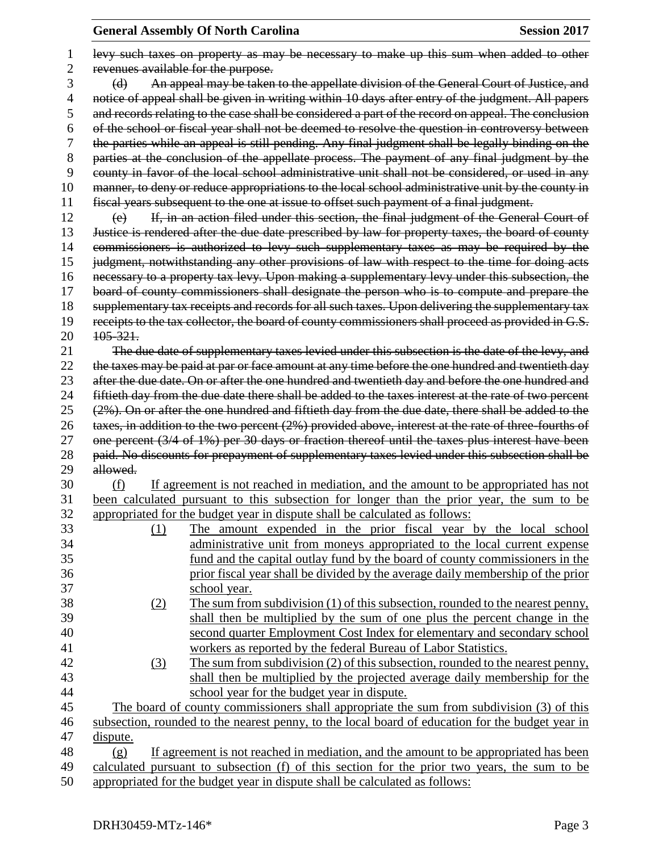|    | levy such taxes on property as may be necessary to make up this sum when added to other                            |  |  |  |
|----|--------------------------------------------------------------------------------------------------------------------|--|--|--|
| 2  | revenues available for the purpose.                                                                                |  |  |  |
| 3  | An appeal may be taken to the appellate division of the General Court of Justice, and<br>$\Theta$                  |  |  |  |
| 4  | notice of appeal shall be given in writing within 10 days after entry of the judgment. All papers                  |  |  |  |
| 5  | and records relating to the case shall be considered a part of the record on appeal. The conclusion                |  |  |  |
| 6  | of the school or fiscal year shall not be deemed to resolve the question in controversy between                    |  |  |  |
| 7  | the parties while an appeal is still pending. Any final judgment shall be legally binding on the                   |  |  |  |
| 8  | parties at the conclusion of the appellate process. The payment of any final judgment by the                       |  |  |  |
| 9  | county in favor of the local school administrative unit shall not be considered, or used in any                    |  |  |  |
| 10 | manner, to deny or reduce appropriations to the local school administrative unit by the county in                  |  |  |  |
| 11 | fiscal years subsequent to the one at issue to offset such payment of a final judgment.                            |  |  |  |
| 12 | If, in an action filed under this section, the final judgment of the General Court of<br>$\left(\mathbf{e}\right)$ |  |  |  |
| 13 | Justice is rendered after the due date prescribed by law for property taxes, the board of county                   |  |  |  |
| 14 | commissioners is authorized to levy such supplementary taxes as may be required by the                             |  |  |  |
| 15 | judgment, notwithstanding any other provisions of law with respect to the time for doing acts                      |  |  |  |
| 16 | necessary to a property tax levy. Upon making a supplementary levy under this subsection, the                      |  |  |  |
| 17 | board of county commissioners shall designate the person who is to compute and prepare the                         |  |  |  |
| 18 | supplementary tax receipts and records for all such taxes. Upon delivering the supplementary tax                   |  |  |  |
| 19 | receipts to the tax collector, the board of county commissioners shall proceed as provided in G.S.                 |  |  |  |
| 20 | $105 - 321$ .                                                                                                      |  |  |  |
| 21 | The due date of supplementary taxes levied under this subsection is the date of the levy, and                      |  |  |  |
| 22 | the taxes may be paid at par or face amount at any time before the one hundred and twentieth day                   |  |  |  |
| 23 | after the due date. On or after the one hundred and twentieth day and before the one hundred and                   |  |  |  |
| 24 | fiftieth day from the due date there shall be added to the taxes interest at the rate of two percent               |  |  |  |
| 25 | (2%). On or after the one hundred and fiftieth day from the due date, there shall be added to the                  |  |  |  |
| 26 | taxes, in addition to the two percent (2%) provided above, interest at the rate of three fourths of                |  |  |  |
| 27 | one percent (3/4 of 1%) per 30 days or fraction thereof until the taxes plus interest have been                    |  |  |  |
| 28 | paid. No discounts for prepayment of supplementary taxes levied under this subsection shall be                     |  |  |  |
| 29 | allowed.                                                                                                           |  |  |  |
| 30 | If agreement is not reached in mediation, and the amount to be appropriated has not<br>(f)                         |  |  |  |
| 31 | been calculated pursuant to this subsection for longer than the prior year, the sum to be                          |  |  |  |
| 32 | appropriated for the budget year in dispute shall be calculated as follows:                                        |  |  |  |
| 33 |                                                                                                                    |  |  |  |
| 34 | The amount expended in the prior fiscal year by the local school<br>$\Omega$                                       |  |  |  |
|    | administrative unit from moneys appropriated to the local current expense                                          |  |  |  |
| 35 | fund and the capital outlay fund by the board of county commissioners in the                                       |  |  |  |
| 36 | prior fiscal year shall be divided by the average daily membership of the prior                                    |  |  |  |
| 37 | school year.                                                                                                       |  |  |  |
| 38 | The sum from subdivision (1) of this subsection, rounded to the nearest penny,<br>(2)                              |  |  |  |
| 39 | shall then be multiplied by the sum of one plus the percent change in the                                          |  |  |  |
| 40 | second quarter Employment Cost Index for elementary and secondary school                                           |  |  |  |
| 41 | workers as reported by the federal Bureau of Labor Statistics.                                                     |  |  |  |
| 42 | The sum from subdivision (2) of this subsection, rounded to the nearest penny,<br>(3)                              |  |  |  |
| 43 | shall then be multiplied by the projected average daily membership for the                                         |  |  |  |
| 44 | school year for the budget year in dispute.                                                                        |  |  |  |
| 45 | The board of county commissioners shall appropriate the sum from subdivision (3) of this                           |  |  |  |
| 46 | subsection, rounded to the nearest penny, to the local board of education for the budget year in                   |  |  |  |
| 47 | dispute.                                                                                                           |  |  |  |
| 48 | If agreement is not reached in mediation, and the amount to be appropriated has been<br>(g)                        |  |  |  |
| 49 | calculated pursuant to subsection (f) of this section for the prior two years, the sum to be                       |  |  |  |
| 50 | appropriated for the budget year in dispute shall be calculated as follows:                                        |  |  |  |